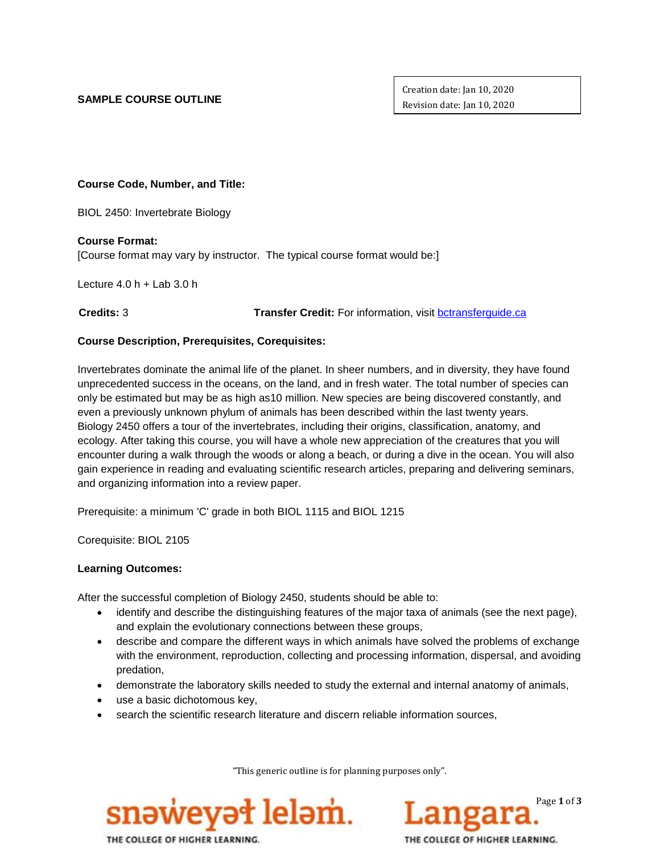## **SAMPLE COURSE OUTLINE**

Creation date: Jan 10, 2020 Revision date: Jan 10, 2020

**Course Code, Number, and Title:**

BIOL 2450: Invertebrate Biology

**Course Format:**

[Course format may vary by instructor. The typical course format would be:]

Lecture  $4.0 h +$  Lab  $3.0 h$ 

 **Credits:** 3 **Transfer Credit:** For information, visit [bctransferguide.ca](http://www.bctransferguide.ca/)

## **Course Description, Prerequisites, Corequisites:**

Invertebrates dominate the animal life of the planet. In sheer numbers, and in diversity, they have found unprecedented success in the oceans, on the land, and in fresh water. The total number of species can only be estimated but may be as high as10 million. New species are being discovered constantly, and even a previously unknown phylum of animals has been described within the last twenty years. Biology 2450 offers a tour of the invertebrates, including their origins, classification, anatomy, and ecology. After taking this course, you will have a whole new appreciation of the creatures that you will encounter during a walk through the woods or along a beach, or during a dive in the ocean. You will also gain experience in reading and evaluating scientific research articles, preparing and delivering seminars, and organizing information into a review paper.

Prerequisite: a minimum 'C' grade in both BIOL 1115 and BIOL 1215

Corequisite: BIOL 2105

### **Learning Outcomes:**

After the successful completion of Biology 2450, students should be able to:

- identify and describe the distinguishing features of the major taxa of animals (see the next page), and explain the evolutionary connections between these groups,
- describe and compare the different ways in which animals have solved the problems of exchange with the environment, reproduction, collecting and processing information, dispersal, and avoiding predation,
- demonstrate the laboratory skills needed to study the external and internal anatomy of animals,
- use a basic dichotomous key,
- search the scientific research literature and discern reliable information sources,

"This generic outline is for planning purposes only".



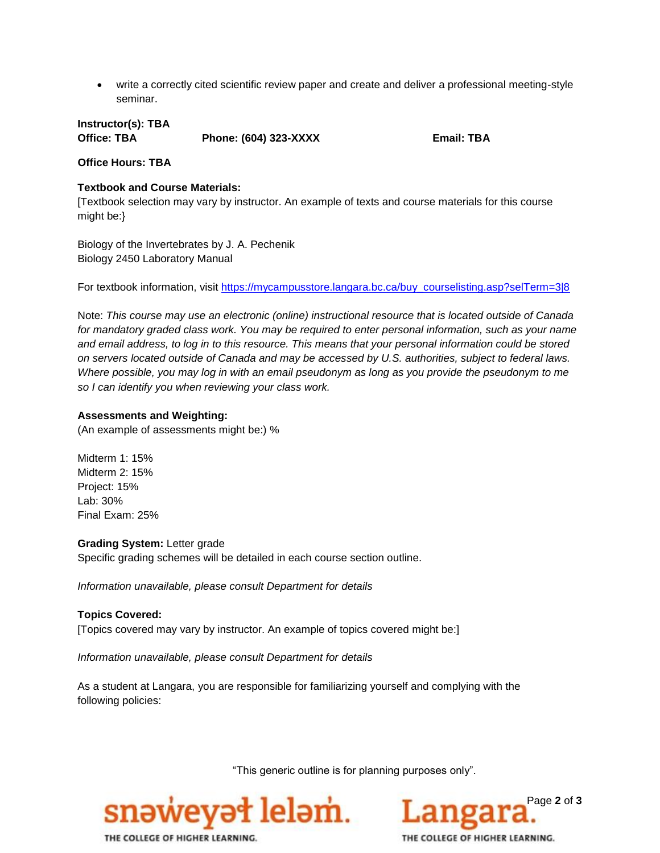write a correctly cited scientific review paper and create and deliver a professional meeting-style seminar.

**Instructor(s): TBA Office: TBA Phone: (604) 323-XXXX Email: TBA**

### **Office Hours: TBA**

#### **Textbook and Course Materials:**

[Textbook selection may vary by instructor. An example of texts and course materials for this course might be:}

Biology of the Invertebrates by J. A. Pechenik Biology 2450 Laboratory Manual

For textbook information, visit [https://mycampusstore.langara.bc.ca/buy\\_courselisting.asp?selTerm=3|8](https://mycampusstore.langara.bc.ca/buy_courselisting.asp?selTerm=3|8)

Note: *This course may use an electronic (online) instructional resource that is located outside of Canada for mandatory graded class work. You may be required to enter personal information, such as your name and email address, to log in to this resource. This means that your personal information could be stored on servers located outside of Canada and may be accessed by U.S. authorities, subject to federal laws. Where possible, you may log in with an email pseudonym as long as you provide the pseudonym to me so I can identify you when reviewing your class work.*

#### **Assessments and Weighting:**

(An example of assessments might be:) %

Midterm 1: 15% Midterm 2: 15% Project: 15% Lab: 30% Final Exam: 25%

#### **Grading System:** Letter grade

Specific grading schemes will be detailed in each course section outline.

*Information unavailable, please consult Department for details*

**Topics Covered:** [Topics covered may vary by instructor. An example of topics covered might be:]

*Information unavailable, please consult Department for details*

As a student at Langara, you are responsible for familiarizing yourself and complying with the following policies:

"This generic outline is for planning purposes only".